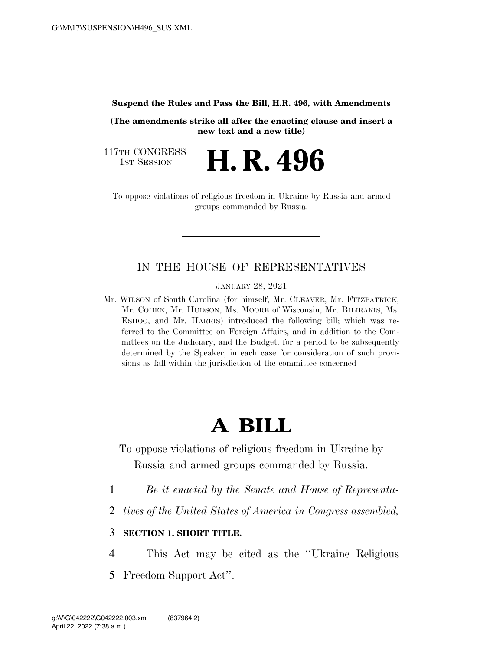**Suspend the Rules and Pass the Bill, H.R. 496, with Amendments** 

**(The amendments strike all after the enacting clause and insert a new text and a new title)** 

H. R. 496

117TH CONGRESS<br>1st Session

To oppose violations of religious freedom in Ukraine by Russia and armed groups commanded by Russia.

# IN THE HOUSE OF REPRESENTATIVES

JANUARY 28, 2021

Mr. WILSON of South Carolina (for himself, Mr. CLEAVER, Mr. FITZPATRICK, Mr. COHEN, Mr. HUDSON, Ms. MOORE of Wisconsin, Mr. BILIRAKIS, Ms. ESHOO, and Mr. HARRIS) introduced the following bill; which was referred to the Committee on Foreign Affairs, and in addition to the Committees on the Judiciary, and the Budget, for a period to be subsequently determined by the Speaker, in each case for consideration of such provisions as fall within the jurisdiction of the committee concerned

# **A BILL**

To oppose violations of religious freedom in Ukraine by Russia and armed groups commanded by Russia.

- 1 *Be it enacted by the Senate and House of Representa-*
- 2 *tives of the United States of America in Congress assembled,*

## 3 **SECTION 1. SHORT TITLE.**

4 This Act may be cited as the ''Ukraine Religious

5 Freedom Support Act''.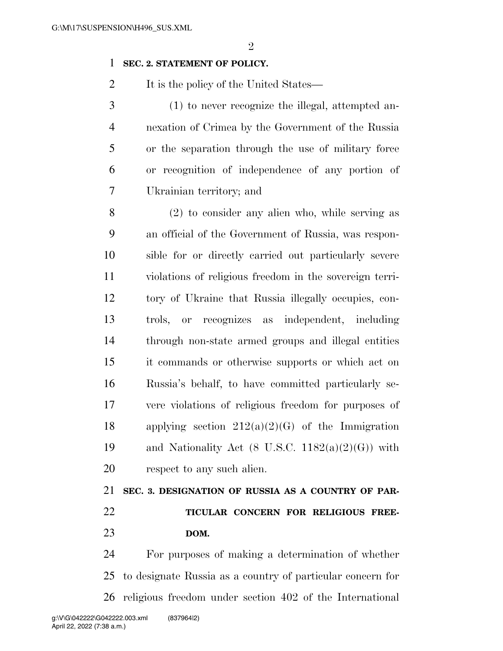### **SEC. 2. STATEMENT OF POLICY.**

2 It is the policy of the United States—

 (1) to never recognize the illegal, attempted an- nexation of Crimea by the Government of the Russia or the separation through the use of military force or recognition of independence of any portion of Ukrainian territory; and

 (2) to consider any alien who, while serving as an official of the Government of Russia, was respon- sible for or directly carried out particularly severe violations of religious freedom in the sovereign terri- tory of Ukraine that Russia illegally occupies, con- trols, or recognizes as independent, including through non-state armed groups and illegal entities it commands or otherwise supports or which act on Russia's behalf, to have committed particularly se- vere violations of religious freedom for purposes of 18 applying section  $212(a)(2)(G)$  of the Immigration 19 and Nationality Act  $(8 \text{ U.S.C. } 1182(a)(2)(G))$  with respect to any such alien.

 **SEC. 3. DESIGNATION OF RUSSIA AS A COUNTRY OF PAR- TICULAR CONCERN FOR RELIGIOUS FREE-DOM.** 

 For purposes of making a determination of whether to designate Russia as a country of particular concern for religious freedom under section 402 of the International